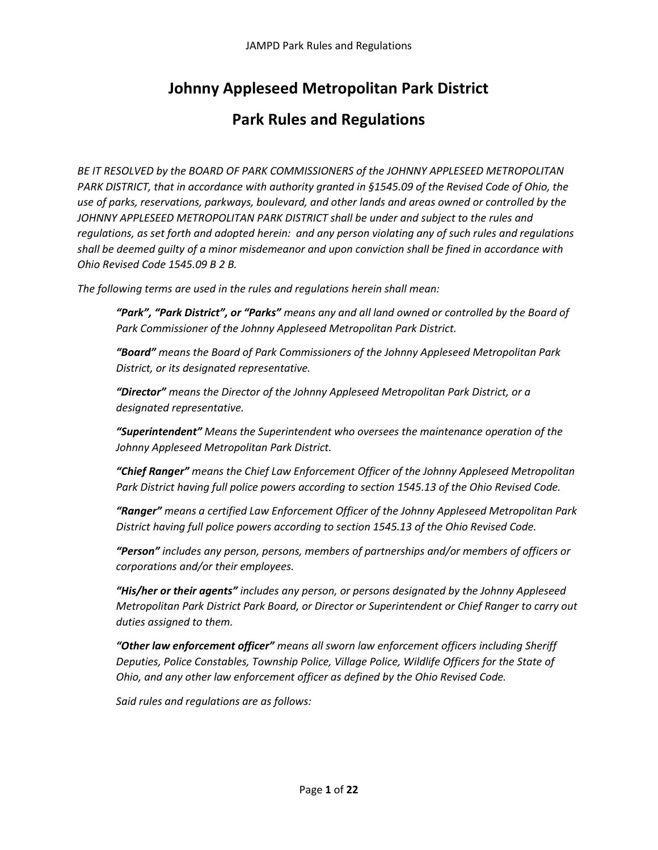# **Johnny Appleseed Metropolitan Park District**

# **Park Rules and Regulations**

*BE IT RESOLVED by the BOARD OF PARK COMMISSIONERS of the JOHNNY APPLESEED METROPOLITAN PARK DISTRICT, that in accordance with authority granted in §1545.09 of the Revised Code of Ohio, the use of parks, reservations, parkways, boulevard, and other lands and areas owned or controlled by the JOHNNY APPLESEED METROPOLITAN PARK DISTRICT shall be under and subject to the rules and regulations, as set forth and adopted herein: and any person violating any of such rules and regulations shall be deemed guilty of a minor misdemeanor and upon conviction shall be fined in accordance with Ohio Revised Code 1545.09 B 2 B.* 

*The following terms are used in the rules and regulations herein shall mean:*

*"Park", "Park District", or "Parks" means any and all land owned or controlled by the Board of Park Commissioner of the Johnny Appleseed Metropolitan Park District.* 

*"Board" means the Board of Park Commissioners of the Johnny Appleseed Metropolitan Park District, or its designated representative.*

*"Director" means the Director of the Johnny Appleseed Metropolitan Park District, or a designated representative.*

*"Superintendent" Means the Superintendent who oversees the maintenance operation of the Johnny Appleseed Metropolitan Park District.*

*"Chief Ranger" means the Chief Law Enforcement Officer of the Johnny Appleseed Metropolitan Park District having full police powers according to section 1545.13 of the Ohio Revised Code.*

*"Ranger" means a certified Law Enforcement Officer of the Johnny Appleseed Metropolitan Park District having full police powers according to section 1545.13 of the Ohio Revised Code.*

*"Person" includes any person, persons, members of partnerships and/or members of officers or corporations and/or their employees.*

*"His/her or their agents" includes any person, or persons designated by the Johnny Appleseed Metropolitan Park District Park Board, or Director or Superintendent or Chief Ranger to carry out duties assigned to them.*

*"Other law enforcement officer" means all sworn law enforcement officers including Sheriff Deputies, Police Constables, Township Police, Village Police, Wildlife Officers for the State of Ohio, and any other law enforcement officer as defined by the Ohio Revised Code.*

*Said rules and regulations are as follows:*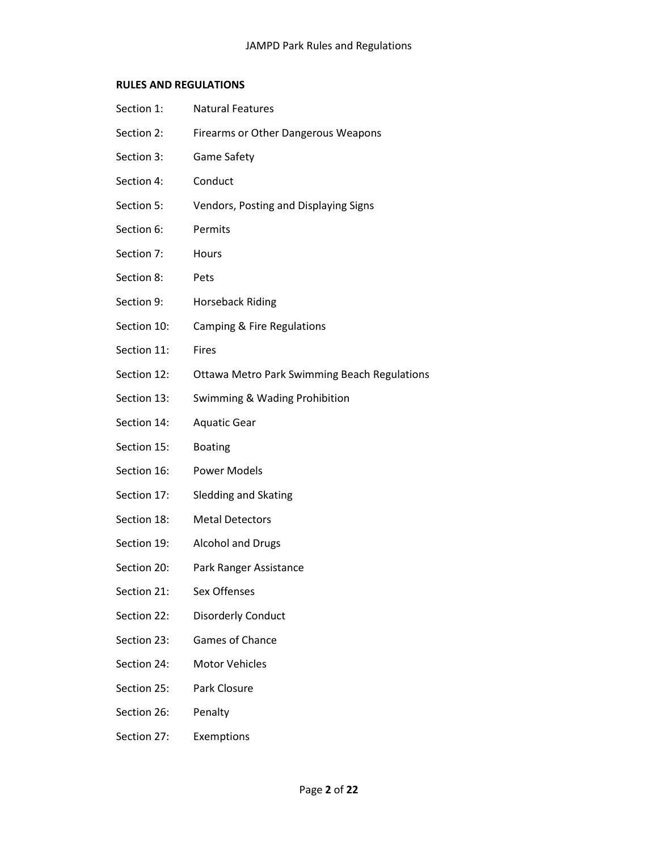# **RULES AND REGULATIONS**

| Section 1:  | <b>Natural Features</b>                             |
|-------------|-----------------------------------------------------|
| Section 2:  | Firearms or Other Dangerous Weapons                 |
| Section 3:  | <b>Game Safety</b>                                  |
| Section 4:  | Conduct                                             |
| Section 5:  | Vendors, Posting and Displaying Signs               |
| Section 6:  | Permits                                             |
| Section 7:  | Hours                                               |
| Section 8:  | Pets                                                |
| Section 9:  | <b>Horseback Riding</b>                             |
| Section 10: | Camping & Fire Regulations                          |
| Section 11: | <b>Fires</b>                                        |
| Section 12: | <b>Ottawa Metro Park Swimming Beach Regulations</b> |
| Section 13: | Swimming & Wading Prohibition                       |
| Section 14: | <b>Aquatic Gear</b>                                 |
| Section 15: | <b>Boating</b>                                      |
| Section 16: | <b>Power Models</b>                                 |
| Section 17: | <b>Sledding and Skating</b>                         |
| Section 18: | <b>Metal Detectors</b>                              |
| Section 19: | <b>Alcohol and Drugs</b>                            |
| Section 20: | Park Ranger Assistance                              |
| Section 21: | Sex Offenses                                        |
| Section 22: | <b>Disorderly Conduct</b>                           |
| Section 23: | Games of Chance                                     |
| Section 24: | <b>Motor Vehicles</b>                               |
| Section 25: | Park Closure                                        |
| Section 26: | Penalty                                             |
| Section 27: | Exemptions                                          |
|             |                                                     |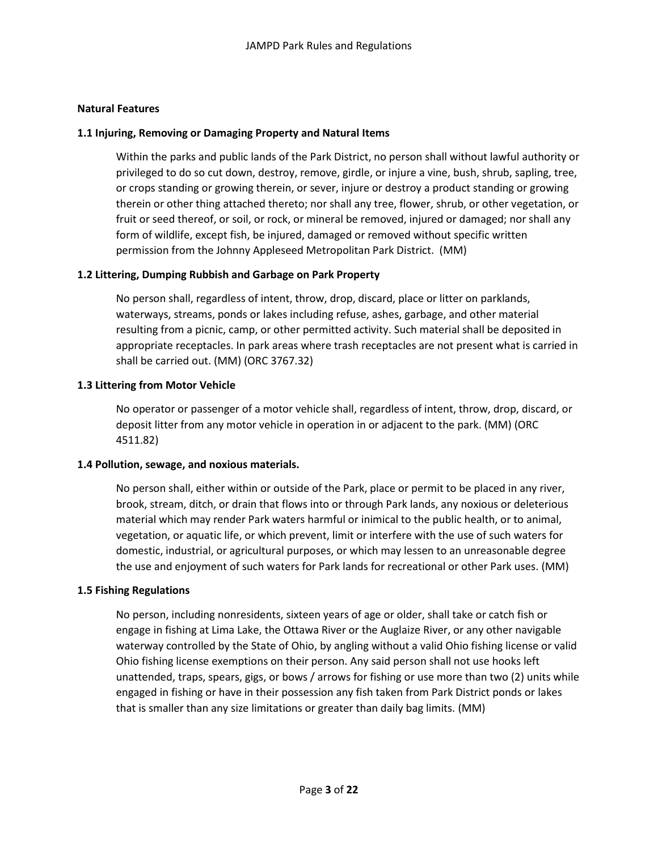# **Natural Features**

# **1.1 Injuring, Removing or Damaging Property and Natural Items**

Within the parks and public lands of the Park District, no person shall without lawful authority or privileged to do so cut down, destroy, remove, girdle, or injure a vine, bush, shrub, sapling, tree, or crops standing or growing therein, or sever, injure or destroy a product standing or growing therein or other thing attached thereto; nor shall any tree, flower, shrub, or other vegetation, or fruit or seed thereof, or soil, or rock, or mineral be removed, injured or damaged; nor shall any form of wildlife, except fish, be injured, damaged or removed without specific written permission from the Johnny Appleseed Metropolitan Park District. (MM)

# **1.2 Littering, Dumping Rubbish and Garbage on Park Property**

No person shall, regardless of intent, throw, drop, discard, place or litter on parklands, waterways, streams, ponds or lakes including refuse, ashes, garbage, and other material resulting from a picnic, camp, or other permitted activity. Such material shall be deposited in appropriate receptacles. In park areas where trash receptacles are not present what is carried in shall be carried out. (MM) (ORC 3767.32)

# **1.3 Littering from Motor Vehicle**

No operator or passenger of a motor vehicle shall, regardless of intent, throw, drop, discard, or deposit litter from any motor vehicle in operation in or adjacent to the park. (MM) (ORC 4511.82)

### **1.4 Pollution, sewage, and noxious materials.**

No person shall, either within or outside of the Park, place or permit to be placed in any river, brook, stream, ditch, or drain that flows into or through Park lands, any noxious or deleterious material which may render Park waters harmful or inimical to the public health, or to animal, vegetation, or aquatic life, or which prevent, limit or interfere with the use of such waters for domestic, industrial, or agricultural purposes, or which may lessen to an unreasonable degree the use and enjoyment of such waters for Park lands for recreational or other Park uses. (MM)

### **1.5 Fishing Regulations**

No person, including nonresidents, sixteen years of age or older, shall take or catch fish or engage in fishing at Lima Lake, the Ottawa River or the Auglaize River, or any other navigable waterway controlled by the State of Ohio, by angling without a valid Ohio fishing license or valid Ohio fishing license exemptions on their person. Any said person shall not use hooks left unattended, traps, spears, gigs, or bows / arrows for fishing or use more than two (2) units while engaged in fishing or have in their possession any fish taken from Park District ponds or lakes that is smaller than any size limitations or greater than daily bag limits. (MM)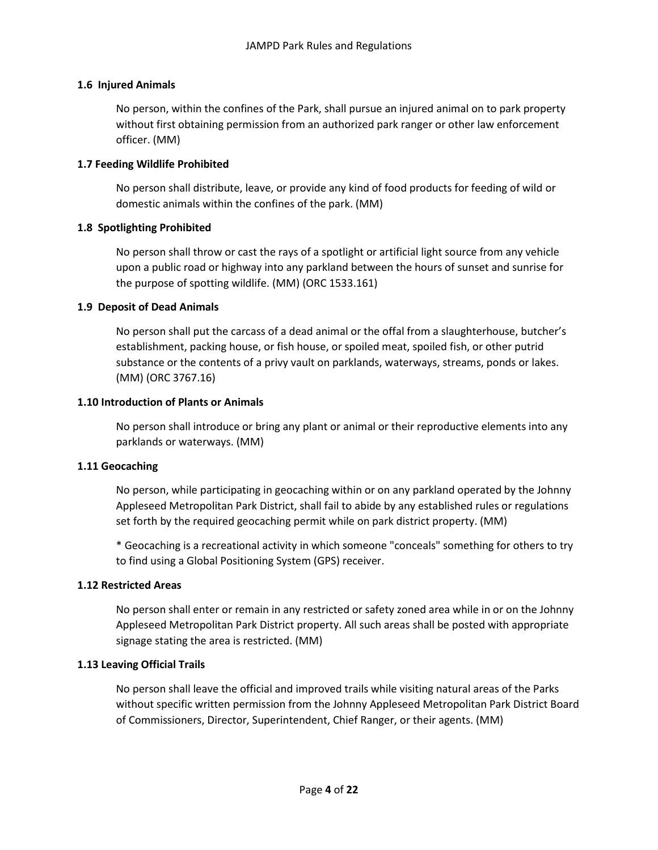# **1.6 Injured Animals**

No person, within the confines of the Park, shall pursue an injured animal on to park property without first obtaining permission from an authorized park ranger or other law enforcement officer. (MM)

# **1.7 Feeding Wildlife Prohibited**

No person shall distribute, leave, or provide any kind of food products for feeding of wild or domestic animals within the confines of the park. (MM)

# **1.8 Spotlighting Prohibited**

No person shall throw or cast the rays of a spotlight or artificial light source from any vehicle upon a public road or highway into any parkland between the hours of sunset and sunrise for the purpose of spotting wildlife. (MM) (ORC 1533.161)

# **1.9 Deposit of Dead Animals**

No person shall put the carcass of a dead animal or the offal from a slaughterhouse, butcher's establishment, packing house, or fish house, or spoiled meat, spoiled fish, or other putrid substance or the contents of a privy vault on parklands, waterways, streams, ponds or lakes. (MM) (ORC 3767.16)

# **1.10 Introduction of Plants or Animals**

No person shall introduce or bring any plant or animal or their reproductive elements into any parklands or waterways. (MM)

# **1.11 Geocaching**

No person, while participating in geocaching within or on any parkland operated by the Johnny Appleseed Metropolitan Park District, shall fail to abide by any established rules or regulations set forth by the required geocaching permit while on park district property. (MM)

\* Geocaching is a recreational activity in which someone "conceals" something for others to try to find using a Global Positioning System (GPS) receiver.

# **1.12 Restricted Areas**

No person shall enter or remain in any restricted or safety zoned area while in or on the Johnny Appleseed Metropolitan Park District property. All such areas shall be posted with appropriate signage stating the area is restricted. (MM)

# **1.13 Leaving Official Trails**

No person shall leave the official and improved trails while visiting natural areas of the Parks without specific written permission from the Johnny Appleseed Metropolitan Park District Board of Commissioners, Director, Superintendent, Chief Ranger, or their agents. (MM)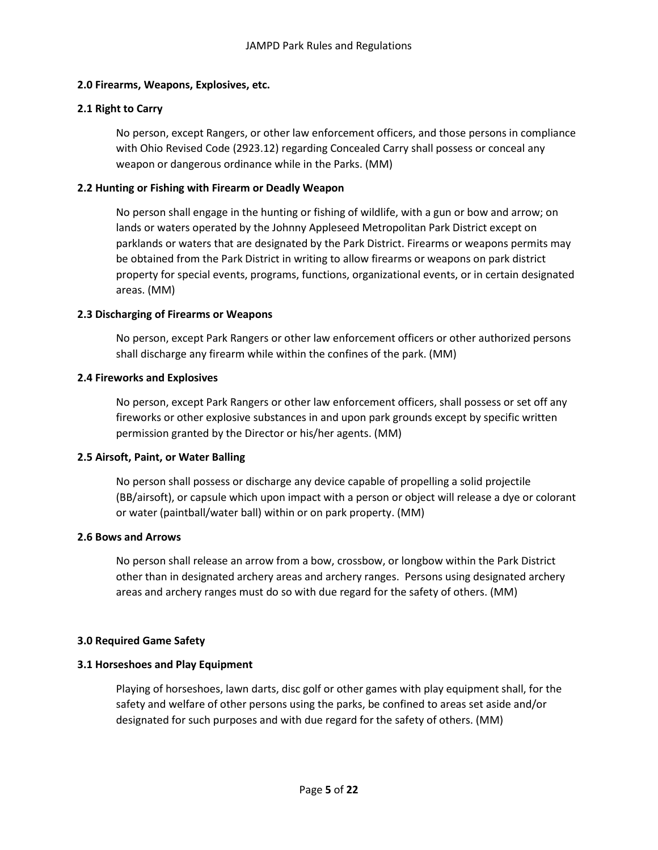# **2.0 Firearms, Weapons, Explosives, etc.**

# **2.1 Right to Carry**

No person, except Rangers, or other law enforcement officers, and those persons in compliance with Ohio Revised Code (2923.12) regarding Concealed Carry shall possess or conceal any weapon or dangerous ordinance while in the Parks. (MM)

# **2.2 Hunting or Fishing with Firearm or Deadly Weapon**

No person shall engage in the hunting or fishing of wildlife, with a gun or bow and arrow; on lands or waters operated by the Johnny Appleseed Metropolitan Park District except on parklands or waters that are designated by the Park District. Firearms or weapons permits may be obtained from the Park District in writing to allow firearms or weapons on park district property for special events, programs, functions, organizational events, or in certain designated areas. (MM)

# **2.3 Discharging of Firearms or Weapons**

No person, except Park Rangers or other law enforcement officers or other authorized persons shall discharge any firearm while within the confines of the park. (MM)

# **2.4 Fireworks and Explosives**

No person, except Park Rangers or other law enforcement officers, shall possess or set off any fireworks or other explosive substances in and upon park grounds except by specific written permission granted by the Director or his/her agents. (MM)

### **2.5 Airsoft, Paint, or Water Balling**

No person shall possess or discharge any device capable of propelling a solid projectile (BB/airsoft), or capsule which upon impact with a person or object will release a dye or colorant or water (paintball/water ball) within or on park property. (MM)

### **2.6 Bows and Arrows**

No person shall release an arrow from a bow, crossbow, or longbow within the Park District other than in designated archery areas and archery ranges. Persons using designated archery areas and archery ranges must do so with due regard for the safety of others. (MM)

### **3.0 Required Game Safety**

# **3.1 Horseshoes and Play Equipment**

Playing of horseshoes, lawn darts, disc golf or other games with play equipment shall, for the safety and welfare of other persons using the parks, be confined to areas set aside and/or designated for such purposes and with due regard for the safety of others. (MM)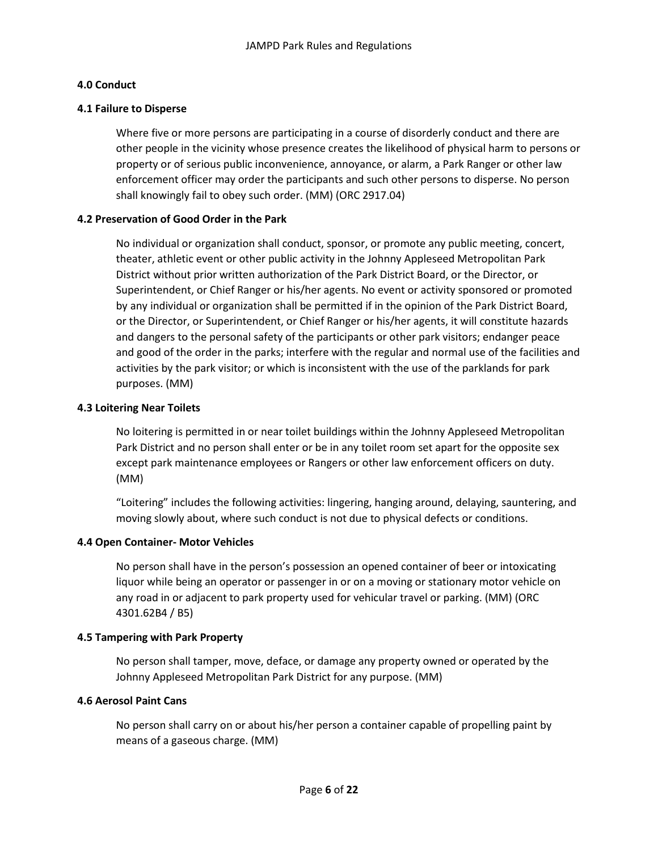# **4.0 Conduct**

### **4.1 Failure to Disperse**

Where five or more persons are participating in a course of disorderly conduct and there are other people in the vicinity whose presence creates the likelihood of physical harm to persons or property or of serious public inconvenience, annoyance, or alarm, a Park Ranger or other law enforcement officer may order the participants and such other persons to disperse. No person shall knowingly fail to obey such order. (MM) (ORC 2917.04)

# **4.2 Preservation of Good Order in the Park**

No individual or organization shall conduct, sponsor, or promote any public meeting, concert, theater, athletic event or other public activity in the Johnny Appleseed Metropolitan Park District without prior written authorization of the Park District Board, or the Director, or Superintendent, or Chief Ranger or his/her agents. No event or activity sponsored or promoted by any individual or organization shall be permitted if in the opinion of the Park District Board, or the Director, or Superintendent, or Chief Ranger or his/her agents, it will constitute hazards and dangers to the personal safety of the participants or other park visitors; endanger peace and good of the order in the parks; interfere with the regular and normal use of the facilities and activities by the park visitor; or which is inconsistent with the use of the parklands for park purposes. (MM)

# **4.3 Loitering Near Toilets**

No loitering is permitted in or near toilet buildings within the Johnny Appleseed Metropolitan Park District and no person shall enter or be in any toilet room set apart for the opposite sex except park maintenance employees or Rangers or other law enforcement officers on duty. (MM)

"Loitering" includes the following activities: lingering, hanging around, delaying, sauntering, and moving slowly about, where such conduct is not due to physical defects or conditions.

# **4.4 Open Container- Motor Vehicles**

No person shall have in the person's possession an opened container of beer or intoxicating liquor while being an operator or passenger in or on a moving or stationary motor vehicle on any road in or adjacent to park property used for vehicular travel or parking. (MM) (ORC 4301.62B4 / B5)

### **4.5 Tampering with Park Property**

No person shall tamper, move, deface, or damage any property owned or operated by the Johnny Appleseed Metropolitan Park District for any purpose. (MM)

### **4.6 Aerosol Paint Cans**

No person shall carry on or about his/her person a container capable of propelling paint by means of a gaseous charge. (MM)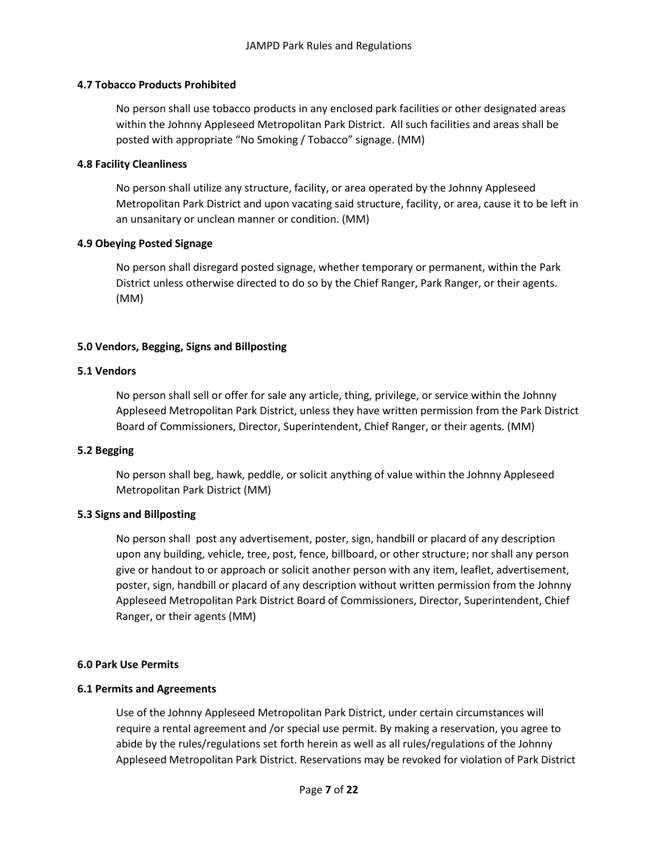# **4.7 Tobacco Products Prohibited**

No person shall use tobacco products in any enclosed park facilities or other designated areas within the Johnny Appleseed Metropolitan Park District. All such facilities and areas shall be posted with appropriate "No Smoking / Tobacco" signage. (MM)

# **4.8 Facility Cleanliness**

No person shall utilize any structure, facility, or area operated by the Johnny Appleseed Metropolitan Park District and upon vacating said structure, facility, or area, cause it to be left in an unsanitary or unclean manner or condition. (MM)

# **4.9 Obeying Posted Signage**

No person shall disregard posted signage, whether temporary or permanent, within the Park District unless otherwise directed to do so by the Chief Ranger, Park Ranger, or their agents. (MM)

# **5.0 Vendors, Begging, Signs and Billposting**

# **5.1 Vendors**

No person shall sell or offer for sale any article, thing, privilege, or service within the Johnny Appleseed Metropolitan Park District, unless they have written permission from the Park District Board of Commissioners, Director, Superintendent, Chief Ranger, or their agents. (MM)

# **5.2 Begging**

No person shall beg, hawk, peddle, or solicit anything of value within the Johnny Appleseed Metropolitan Park District (MM)

### **5.3 Signs and Billposting**

No person shall post any advertisement, poster, sign, handbill or placard of any description upon any building, vehicle, tree, post, fence, billboard, or other structure; nor shall any person give or handout to or approach or solicit another person with any item, leaflet, advertisement, poster, sign, handbill or placard of any description without written permission from the Johnny Appleseed Metropolitan Park District Board of Commissioners, Director, Superintendent, Chief Ranger, or their agents (MM)

### **6.0 Park Use Permits**

### **6.1 Permits and Agreements**

Use of the Johnny Appleseed Metropolitan Park District, under certain circumstances will require a rental agreement and /or special use permit. By making a reservation, you agree to abide by the rules/regulations set forth herein as well as all rules/regulations of the Johnny Appleseed Metropolitan Park District. Reservations may be revoked for violation of Park District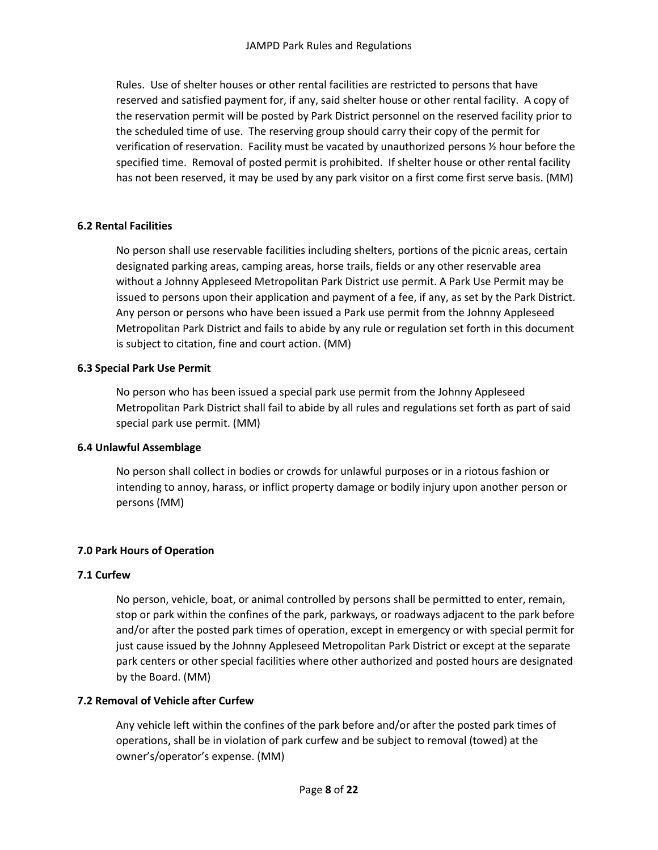Rules. Use of shelter houses or other rental facilities are restricted to persons that have reserved and satisfied payment for, if any, said shelter house or other rental facility. A copy of the reservation permit will be posted by Park District personnel on the reserved facility prior to the scheduled time of use. The reserving group should carry their copy of the permit for verification of reservation. Facility must be vacated by unauthorized persons ½ hour before the specified time. Removal of posted permit is prohibited. If shelter house or other rental facility has not been reserved, it may be used by any park visitor on a first come first serve basis. (MM)

# **6.2 Rental Facilities**

No person shall use reservable facilities including shelters, portions of the picnic areas, certain designated parking areas, camping areas, horse trails, fields or any other reservable area without a Johnny Appleseed Metropolitan Park District use permit. A Park Use Permit may be issued to persons upon their application and payment of a fee, if any, as set by the Park District. Any person or persons who have been issued a Park use permit from the Johnny Appleseed Metropolitan Park District and fails to abide by any rule or regulation set forth in this document is subject to citation, fine and court action. (MM)

# **6.3 Special Park Use Permit**

No person who has been issued a special park use permit from the Johnny Appleseed Metropolitan Park District shall fail to abide by all rules and regulations set forth as part of said special park use permit. (MM)

# **6.4 Unlawful Assemblage**

No person shall collect in bodies or crowds for unlawful purposes or in a riotous fashion or intending to annoy, harass, or inflict property damage or bodily injury upon another person or persons (MM)

# **7.0 Park Hours of Operation**

# **7.1 Curfew**

No person, vehicle, boat, or animal controlled by persons shall be permitted to enter, remain, stop or park within the confines of the park, parkways, or roadways adjacent to the park before and/or after the posted park times of operation, except in emergency or with special permit for just cause issued by the Johnny Appleseed Metropolitan Park District or except at the separate park centers or other special facilities where other authorized and posted hours are designated by the Board. (MM)

# **7.2 Removal of Vehicle after Curfew**

Any vehicle left within the confines of the park before and/or after the posted park times of operations, shall be in violation of park curfew and be subject to removal (towed) at the owner's/operator's expense. (MM)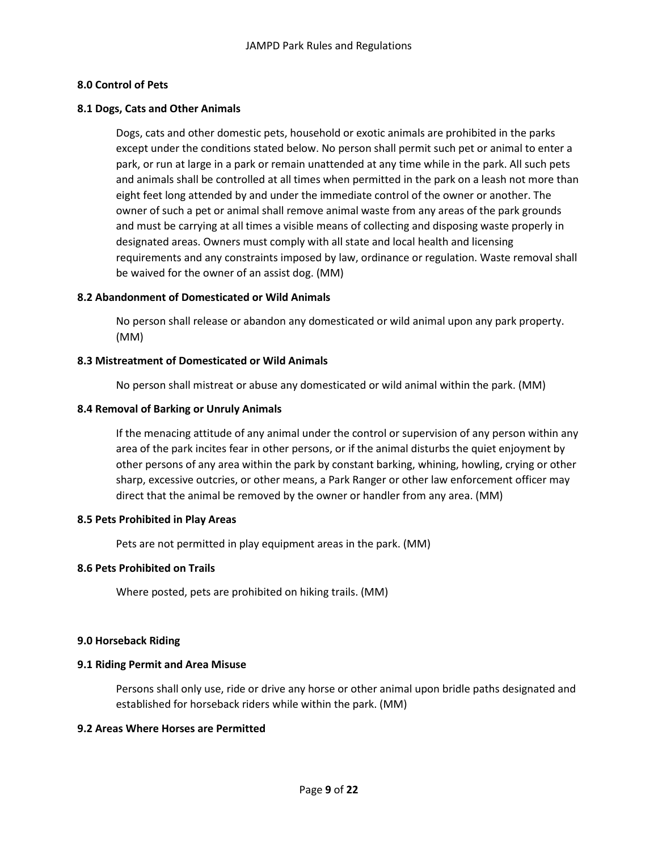# **8.0 Control of Pets**

### **8.1 Dogs, Cats and Other Animals**

Dogs, cats and other domestic pets, household or exotic animals are prohibited in the parks except under the conditions stated below. No person shall permit such pet or animal to enter a park, or run at large in a park or remain unattended at any time while in the park. All such pets and animals shall be controlled at all times when permitted in the park on a leash not more than eight feet long attended by and under the immediate control of the owner or another. The owner of such a pet or animal shall remove animal waste from any areas of the park grounds and must be carrying at all times a visible means of collecting and disposing waste properly in designated areas. Owners must comply with all state and local health and licensing requirements and any constraints imposed by law, ordinance or regulation. Waste removal shall be waived for the owner of an assist dog. (MM)

# **8.2 Abandonment of Domesticated or Wild Animals**

No person shall release or abandon any domesticated or wild animal upon any park property. (MM)

### **8.3 Mistreatment of Domesticated or Wild Animals**

No person shall mistreat or abuse any domesticated or wild animal within the park. (MM)

### **8.4 Removal of Barking or Unruly Animals**

If the menacing attitude of any animal under the control or supervision of any person within any area of the park incites fear in other persons, or if the animal disturbs the quiet enjoyment by other persons of any area within the park by constant barking, whining, howling, crying or other sharp, excessive outcries, or other means, a Park Ranger or other law enforcement officer may direct that the animal be removed by the owner or handler from any area. (MM)

### **8.5 Pets Prohibited in Play Areas**

Pets are not permitted in play equipment areas in the park. (MM)

### **8.6 Pets Prohibited on Trails**

Where posted, pets are prohibited on hiking trails. (MM)

### **9.0 Horseback Riding**

### **9.1 Riding Permit and Area Misuse**

Persons shall only use, ride or drive any horse or other animal upon bridle paths designated and established for horseback riders while within the park. (MM)

### **9.2 Areas Where Horses are Permitted**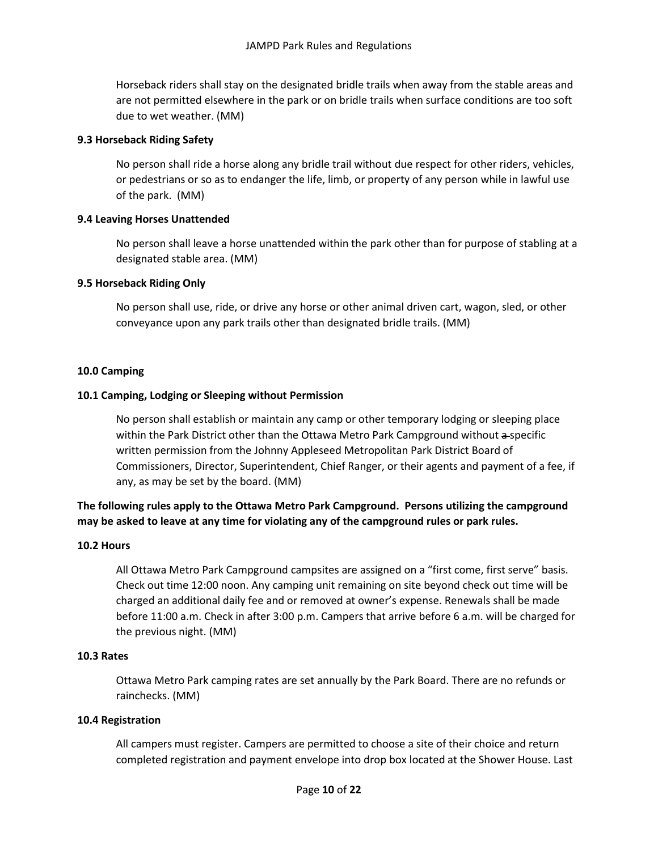Horseback riders shall stay on the designated bridle trails when away from the stable areas and are not permitted elsewhere in the park or on bridle trails when surface conditions are too soft due to wet weather. (MM)

# **9.3 Horseback Riding Safety**

No person shall ride a horse along any bridle trail without due respect for other riders, vehicles, or pedestrians or so as to endanger the life, limb, or property of any person while in lawful use of the park. (MM)

# **9.4 Leaving Horses Unattended**

No person shall leave a horse unattended within the park other than for purpose of stabling at a designated stable area. (MM)

# **9.5 Horseback Riding Only**

No person shall use, ride, or drive any horse or other animal driven cart, wagon, sled, or other conveyance upon any park trails other than designated bridle trails. (MM)

# **10.0 Camping**

# **10.1 Camping, Lodging or Sleeping without Permission**

No person shall establish or maintain any camp or other temporary lodging or sleeping place within the Park District other than the Ottawa Metro Park Campground without a-specific written permission from the Johnny Appleseed Metropolitan Park District Board of Commissioners, Director, Superintendent, Chief Ranger, or their agents and payment of a fee, if any, as may be set by the board. (MM)

**The following rules apply to the Ottawa Metro Park Campground. Persons utilizing the campground may be asked to leave at any time for violating any of the campground rules or park rules.**

### **10.2 Hours**

All Ottawa Metro Park Campground campsites are assigned on a "first come, first serve" basis. Check out time 12:00 noon. Any camping unit remaining on site beyond check out time will be charged an additional daily fee and or removed at owner's expense. Renewals shall be made before 11:00 a.m. Check in after 3:00 p.m. Campers that arrive before 6 a.m. will be charged for the previous night. (MM)

### **10.3 Rates**

Ottawa Metro Park camping rates are set annually by the Park Board. There are no refunds or rainchecks. (MM)

### **10.4 Registration**

All campers must register. Campers are permitted to choose a site of their choice and return completed registration and payment envelope into drop box located at the Shower House. Last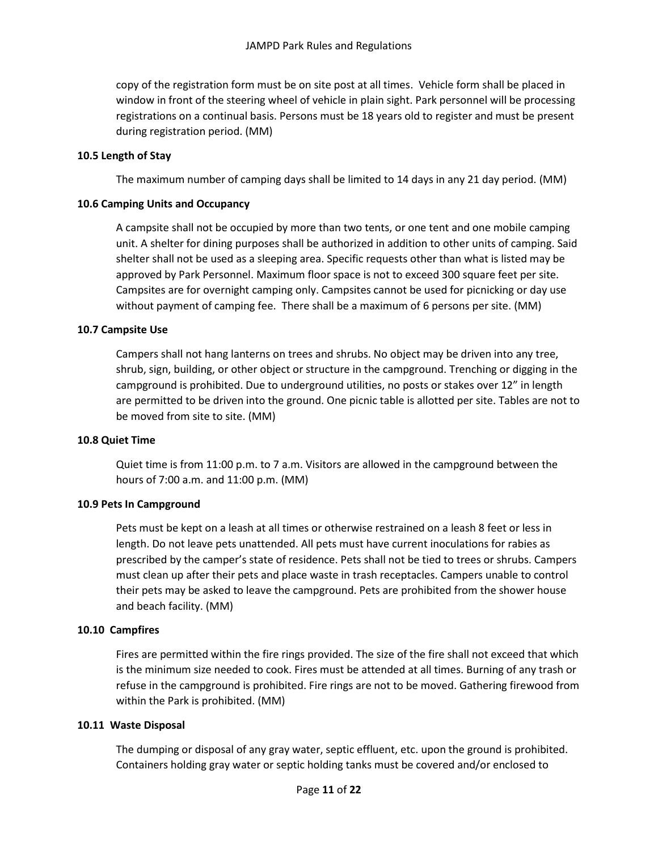copy of the registration form must be on site post at all times. Vehicle form shall be placed in window in front of the steering wheel of vehicle in plain sight. Park personnel will be processing registrations on a continual basis. Persons must be 18 years old to register and must be present during registration period. (MM)

# **10.5 Length of Stay**

The maximum number of camping days shall be limited to 14 days in any 21 day period. (MM)

# **10.6 Camping Units and Occupancy**

A campsite shall not be occupied by more than two tents, or one tent and one mobile camping unit. A shelter for dining purposes shall be authorized in addition to other units of camping. Said shelter shall not be used as a sleeping area. Specific requests other than what is listed may be approved by Park Personnel. Maximum floor space is not to exceed 300 square feet per site. Campsites are for overnight camping only. Campsites cannot be used for picnicking or day use without payment of camping fee. There shall be a maximum of 6 persons per site. (MM)

# **10.7 Campsite Use**

Campers shall not hang lanterns on trees and shrubs. No object may be driven into any tree, shrub, sign, building, or other object or structure in the campground. Trenching or digging in the campground is prohibited. Due to underground utilities, no posts or stakes over 12" in length are permitted to be driven into the ground. One picnic table is allotted per site. Tables are not to be moved from site to site. (MM)

### **10.8 Quiet Time**

Quiet time is from 11:00 p.m. to 7 a.m. Visitors are allowed in the campground between the hours of 7:00 a.m. and 11:00 p.m. (MM)

# **10.9 Pets In Campground**

Pets must be kept on a leash at all times or otherwise restrained on a leash 8 feet or less in length. Do not leave pets unattended. All pets must have current inoculations for rabies as prescribed by the camper's state of residence. Pets shall not be tied to trees or shrubs. Campers must clean up after their pets and place waste in trash receptacles. Campers unable to control their pets may be asked to leave the campground. Pets are prohibited from the shower house and beach facility. (MM)

### **10.10 Campfires**

Fires are permitted within the fire rings provided. The size of the fire shall not exceed that which is the minimum size needed to cook. Fires must be attended at all times. Burning of any trash or refuse in the campground is prohibited. Fire rings are not to be moved. Gathering firewood from within the Park is prohibited. (MM)

### **10.11 Waste Disposal**

The dumping or disposal of any gray water, septic effluent, etc. upon the ground is prohibited. Containers holding gray water or septic holding tanks must be covered and/or enclosed to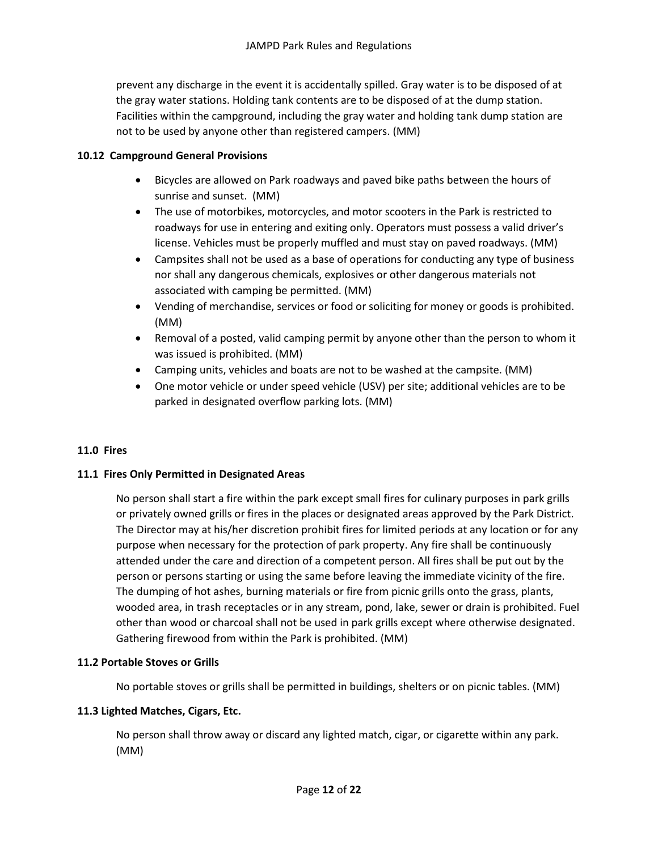prevent any discharge in the event it is accidentally spilled. Gray water is to be disposed of at the gray water stations. Holding tank contents are to be disposed of at the dump station. Facilities within the campground, including the gray water and holding tank dump station are not to be used by anyone other than registered campers. (MM)

# **10.12 Campground General Provisions**

- Bicycles are allowed on Park roadways and paved bike paths between the hours of sunrise and sunset. (MM)
- The use of motorbikes, motorcycles, and motor scooters in the Park is restricted to roadways for use in entering and exiting only. Operators must possess a valid driver's license. Vehicles must be properly muffled and must stay on paved roadways. (MM)
- Campsites shall not be used as a base of operations for conducting any type of business nor shall any dangerous chemicals, explosives or other dangerous materials not associated with camping be permitted. (MM)
- Vending of merchandise, services or food or soliciting for money or goods is prohibited. (MM)
- Removal of a posted, valid camping permit by anyone other than the person to whom it was issued is prohibited. (MM)
- Camping units, vehicles and boats are not to be washed at the campsite. (MM)
- One motor vehicle or under speed vehicle (USV) per site; additional vehicles are to be parked in designated overflow parking lots. (MM)

# **11.0 Fires**

# **11.1 Fires Only Permitted in Designated Areas**

No person shall start a fire within the park except small fires for culinary purposes in park grills or privately owned grills or fires in the places or designated areas approved by the Park District. The Director may at his/her discretion prohibit fires for limited periods at any location or for any purpose when necessary for the protection of park property. Any fire shall be continuously attended under the care and direction of a competent person. All fires shall be put out by the person or persons starting or using the same before leaving the immediate vicinity of the fire. The dumping of hot ashes, burning materials or fire from picnic grills onto the grass, plants, wooded area, in trash receptacles or in any stream, pond, lake, sewer or drain is prohibited. Fuel other than wood or charcoal shall not be used in park grills except where otherwise designated. Gathering firewood from within the Park is prohibited. (MM)

### **11.2 Portable Stoves or Grills**

No portable stoves or grills shall be permitted in buildings, shelters or on picnic tables. (MM)

### **11.3 Lighted Matches, Cigars, Etc.**

No person shall throw away or discard any lighted match, cigar, or cigarette within any park. (MM)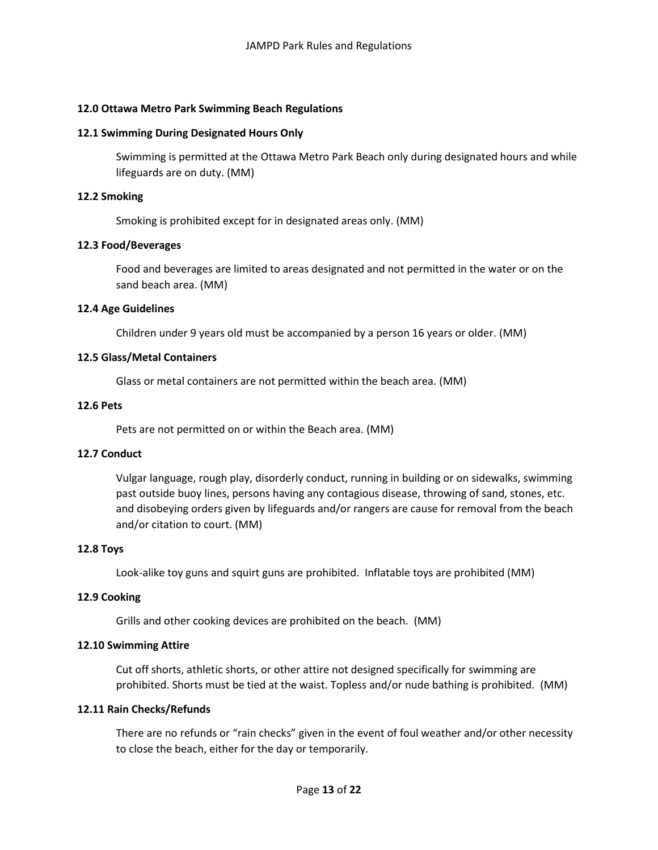# **12.0 Ottawa Metro Park Swimming Beach Regulations**

### **12.1 Swimming During Designated Hours Only**

Swimming is permitted at the Ottawa Metro Park Beach only during designated hours and while lifeguards are on duty. (MM)

### **12.2 Smoking**

Smoking is prohibited except for in designated areas only. (MM)

### **12.3 Food/Beverages**

Food and beverages are limited to areas designated and not permitted in the water or on the sand beach area. (MM)

#### **12.4 Age Guidelines**

Children under 9 years old must be accompanied by a person 16 years or older. (MM)

#### **12.5 Glass/Metal Containers**

Glass or metal containers are not permitted within the beach area. (MM)

#### **12.6 Pets**

Pets are not permitted on or within the Beach area. (MM)

### **12.7 Conduct**

Vulgar language, rough play, disorderly conduct, running in building or on sidewalks, swimming past outside buoy lines, persons having any contagious disease, throwing of sand, stones, etc. and disobeying orders given by lifeguards and/or rangers are cause for removal from the beach and/or citation to court. (MM)

#### **12.8 Toys**

Look-alike toy guns and squirt guns are prohibited. Inflatable toys are prohibited (MM)

# **12.9 Cooking**

Grills and other cooking devices are prohibited on the beach. (MM)

#### **12.10 Swimming Attire**

Cut off shorts, athletic shorts, or other attire not designed specifically for swimming are prohibited. Shorts must be tied at the waist. Topless and/or nude bathing is prohibited. (MM)

### **12.11 Rain Checks/Refunds**

There are no refunds or "rain checks" given in the event of foul weather and/or other necessity to close the beach, either for the day or temporarily.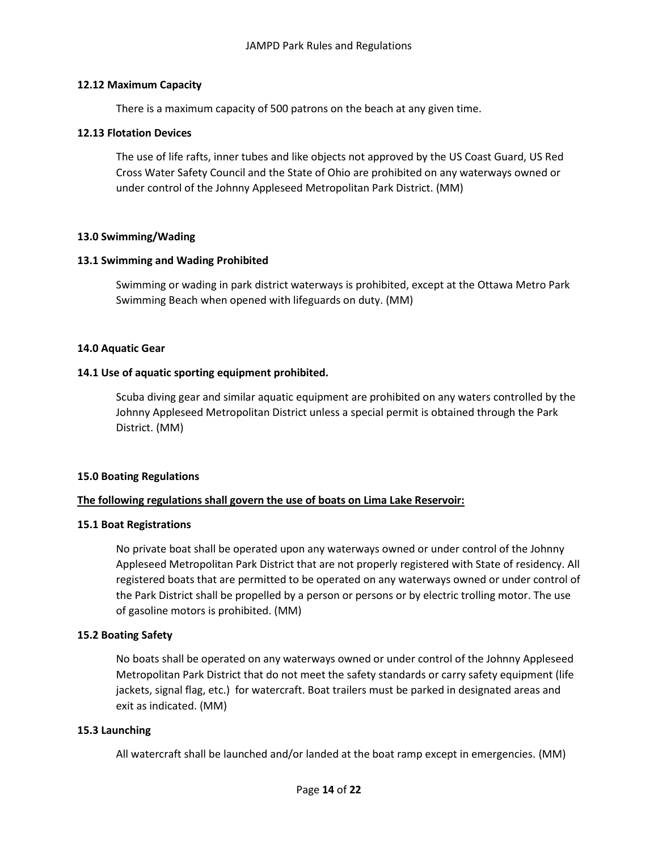### **12.12 Maximum Capacity**

There is a maximum capacity of 500 patrons on the beach at any given time.

### **12.13 Flotation Devices**

The use of life rafts, inner tubes and like objects not approved by the US Coast Guard, US Red Cross Water Safety Council and the State of Ohio are prohibited on any waterways owned or under control of the Johnny Appleseed Metropolitan Park District. (MM)

### **13.0 Swimming/Wading**

#### **13.1 Swimming and Wading Prohibited**

Swimming or wading in park district waterways is prohibited, except at the Ottawa Metro Park Swimming Beach when opened with lifeguards on duty. (MM)

#### **14.0 Aquatic Gear**

#### **14.1 Use of aquatic sporting equipment prohibited.**

Scuba diving gear and similar aquatic equipment are prohibited on any waters controlled by the Johnny Appleseed Metropolitan District unless a special permit is obtained through the Park District. (MM)

#### **15.0 Boating Regulations**

### **The following regulations shall govern the use of boats on Lima Lake Reservoir:**

#### **15.1 Boat Registrations**

No private boat shall be operated upon any waterways owned or under control of the Johnny Appleseed Metropolitan Park District that are not properly registered with State of residency. All registered boats that are permitted to be operated on any waterways owned or under control of the Park District shall be propelled by a person or persons or by electric trolling motor. The use of gasoline motors is prohibited. (MM)

### **15.2 Boating Safety**

No boats shall be operated on any waterways owned or under control of the Johnny Appleseed Metropolitan Park District that do not meet the safety standards or carry safety equipment (life jackets, signal flag, etc.) for watercraft. Boat trailers must be parked in designated areas and exit as indicated. (MM)

#### **15.3 Launching**

All watercraft shall be launched and/or landed at the boat ramp except in emergencies. (MM)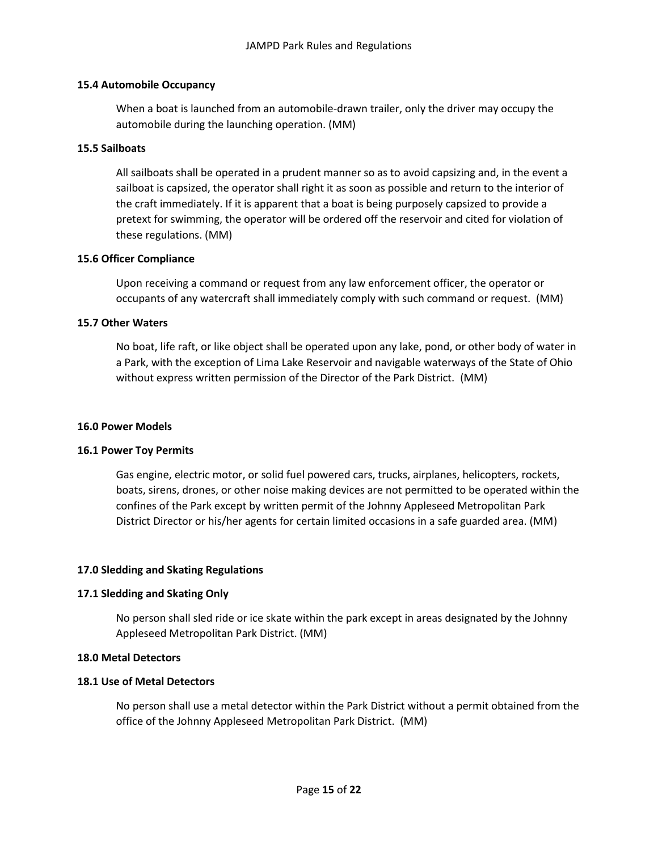### **15.4 Automobile Occupancy**

When a boat is launched from an automobile-drawn trailer, only the driver may occupy the automobile during the launching operation. (MM)

### **15.5 Sailboats**

All sailboats shall be operated in a prudent manner so as to avoid capsizing and, in the event a sailboat is capsized, the operator shall right it as soon as possible and return to the interior of the craft immediately. If it is apparent that a boat is being purposely capsized to provide a pretext for swimming, the operator will be ordered off the reservoir and cited for violation of these regulations. (MM)

# **15.6 Officer Compliance**

Upon receiving a command or request from any law enforcement officer, the operator or occupants of any watercraft shall immediately comply with such command or request. (MM)

# **15.7 Other Waters**

No boat, life raft, or like object shall be operated upon any lake, pond, or other body of water in a Park, with the exception of Lima Lake Reservoir and navigable waterways of the State of Ohio without express written permission of the Director of the Park District. (MM)

### **16.0 Power Models**

# **16.1 Power Toy Permits**

Gas engine, electric motor, or solid fuel powered cars, trucks, airplanes, helicopters, rockets, boats, sirens, drones, or other noise making devices are not permitted to be operated within the confines of the Park except by written permit of the Johnny Appleseed Metropolitan Park District Director or his/her agents for certain limited occasions in a safe guarded area. (MM)

# **17.0 Sledding and Skating Regulations**

# **17.1 Sledding and Skating Only**

No person shall sled ride or ice skate within the park except in areas designated by the Johnny Appleseed Metropolitan Park District. (MM)

# **18.0 Metal Detectors**

### **18.1 Use of Metal Detectors**

No person shall use a metal detector within the Park District without a permit obtained from the office of the Johnny Appleseed Metropolitan Park District. (MM)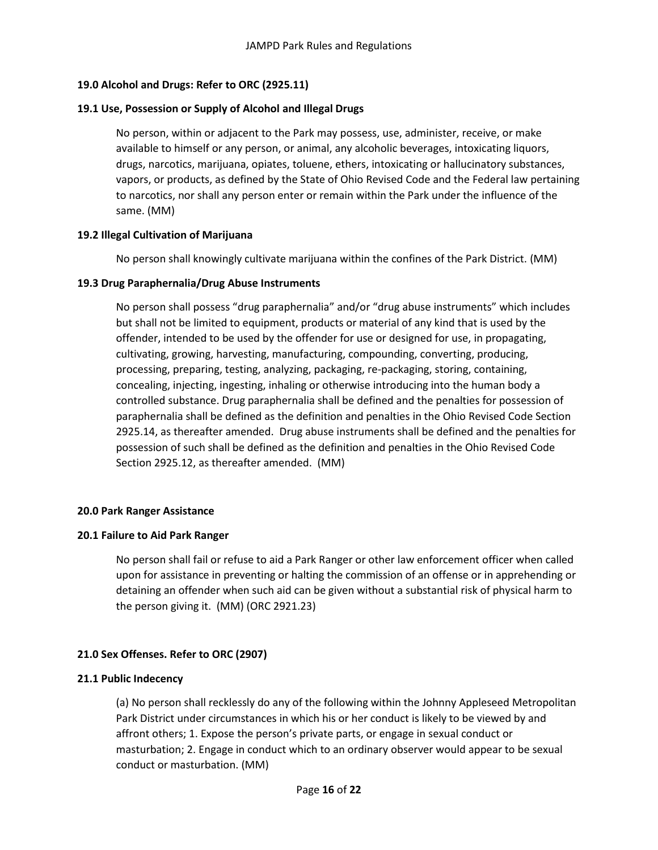# **19.0 Alcohol and Drugs: Refer to ORC (2925.11)**

# **19.1 Use, Possession or Supply of Alcohol and Illegal Drugs**

No person, within or adjacent to the Park may possess, use, administer, receive, or make available to himself or any person, or animal, any alcoholic beverages, intoxicating liquors, drugs, narcotics, marijuana, opiates, toluene, ethers, intoxicating or hallucinatory substances, vapors, or products, as defined by the State of Ohio Revised Code and the Federal law pertaining to narcotics, nor shall any person enter or remain within the Park under the influence of the same. (MM)

# **19.2 Illegal Cultivation of Marijuana**

No person shall knowingly cultivate marijuana within the confines of the Park District. (MM)

# **19.3 Drug Paraphernalia/Drug Abuse Instruments**

No person shall possess "drug paraphernalia" and/or "drug abuse instruments" which includes but shall not be limited to equipment, products or material of any kind that is used by the offender, intended to be used by the offender for use or designed for use, in propagating, cultivating, growing, harvesting, manufacturing, compounding, converting, producing, processing, preparing, testing, analyzing, packaging, re-packaging, storing, containing, concealing, injecting, ingesting, inhaling or otherwise introducing into the human body a controlled substance. Drug paraphernalia shall be defined and the penalties for possession of paraphernalia shall be defined as the definition and penalties in the Ohio Revised Code Section 2925.14, as thereafter amended. Drug abuse instruments shall be defined and the penalties for possession of such shall be defined as the definition and penalties in the Ohio Revised Code Section 2925.12, as thereafter amended. (MM)

# **20.0 Park Ranger Assistance**

### **20.1 Failure to Aid Park Ranger**

No person shall fail or refuse to aid a Park Ranger or other law enforcement officer when called upon for assistance in preventing or halting the commission of an offense or in apprehending or detaining an offender when such aid can be given without a substantial risk of physical harm to the person giving it. (MM) (ORC 2921.23)

# **21.0 Sex Offenses. Refer to ORC (2907)**

# **21.1 Public Indecency**

(a) No person shall recklessly do any of the following within the Johnny Appleseed Metropolitan Park District under circumstances in which his or her conduct is likely to be viewed by and affront others; 1. Expose the person's private parts, or engage in sexual conduct or masturbation; 2. Engage in conduct which to an ordinary observer would appear to be sexual conduct or masturbation. (MM)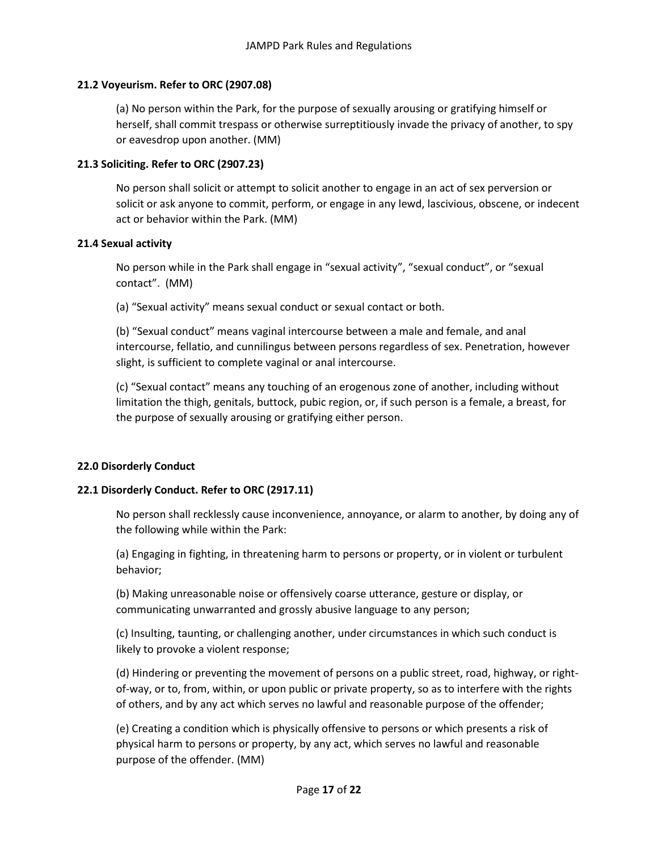# **21.2 Voyeurism. Refer to ORC (2907.08)**

(a) No person within the Park, for the purpose of sexually arousing or gratifying himself or herself, shall commit trespass or otherwise surreptitiously invade the privacy of another, to spy or eavesdrop upon another. (MM)

# **21.3 Soliciting. Refer to ORC (2907.23)**

No person shall solicit or attempt to solicit another to engage in an act of sex perversion or solicit or ask anyone to commit, perform, or engage in any lewd, lascivious, obscene, or indecent act or behavior within the Park. (MM)

### **21.4 Sexual activity**

No person while in the Park shall engage in "sexual activity", "sexual conduct", or "sexual contact". (MM)

(a) "Sexual activity" means sexual conduct or sexual contact or both.

(b) "Sexual conduct" means vaginal intercourse between a male and female, and anal intercourse, fellatio, and cunnilingus between persons regardless of sex. Penetration, however slight, is sufficient to complete vaginal or anal intercourse.

(c) "Sexual contact" means any touching of an erogenous zone of another, including without limitation the thigh, genitals, buttock, pubic region, or, if such person is a female, a breast, for the purpose of sexually arousing or gratifying either person.

# **22.0 Disorderly Conduct**

# **22.1 Disorderly Conduct. Refer to ORC (2917.11)**

No person shall recklessly cause inconvenience, annoyance, or alarm to another, by doing any of the following while within the Park:

(a) Engaging in fighting, in threatening harm to persons or property, or in violent or turbulent behavior;

(b) Making unreasonable noise or offensively coarse utterance, gesture or display, or communicating unwarranted and grossly abusive language to any person;

(c) Insulting, taunting, or challenging another, under circumstances in which such conduct is likely to provoke a violent response;

(d) Hindering or preventing the movement of persons on a public street, road, highway, or rightof-way, or to, from, within, or upon public or private property, so as to interfere with the rights of others, and by any act which serves no lawful and reasonable purpose of the offender;

(e) Creating a condition which is physically offensive to persons or which presents a risk of physical harm to persons or property, by any act, which serves no lawful and reasonable purpose of the offender. (MM)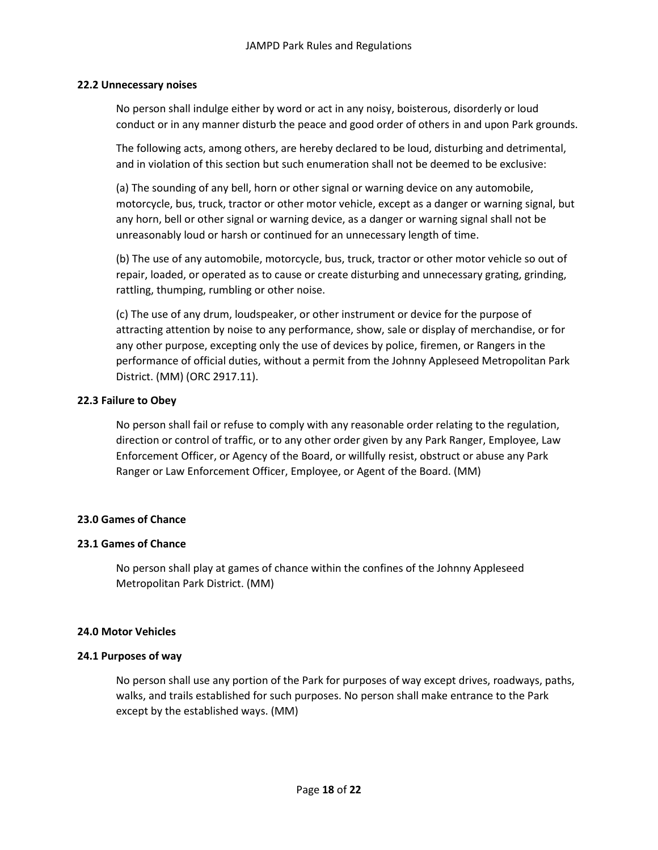### **22.2 Unnecessary noises**

No person shall indulge either by word or act in any noisy, boisterous, disorderly or loud conduct or in any manner disturb the peace and good order of others in and upon Park grounds.

The following acts, among others, are hereby declared to be loud, disturbing and detrimental, and in violation of this section but such enumeration shall not be deemed to be exclusive:

(a) The sounding of any bell, horn or other signal or warning device on any automobile, motorcycle, bus, truck, tractor or other motor vehicle, except as a danger or warning signal, but any horn, bell or other signal or warning device, as a danger or warning signal shall not be unreasonably loud or harsh or continued for an unnecessary length of time.

(b) The use of any automobile, motorcycle, bus, truck, tractor or other motor vehicle so out of repair, loaded, or operated as to cause or create disturbing and unnecessary grating, grinding, rattling, thumping, rumbling or other noise.

(c) The use of any drum, loudspeaker, or other instrument or device for the purpose of attracting attention by noise to any performance, show, sale or display of merchandise, or for any other purpose, excepting only the use of devices by police, firemen, or Rangers in the performance of official duties, without a permit from the Johnny Appleseed Metropolitan Park District. (MM) (ORC 2917.11).

# **22.3 Failure to Obey**

No person shall fail or refuse to comply with any reasonable order relating to the regulation, direction or control of traffic, or to any other order given by any Park Ranger, Employee, Law Enforcement Officer, or Agency of the Board, or willfully resist, obstruct or abuse any Park Ranger or Law Enforcement Officer, Employee, or Agent of the Board. (MM)

# **23.0 Games of Chance**

# **23.1 Games of Chance**

No person shall play at games of chance within the confines of the Johnny Appleseed Metropolitan Park District. (MM)

### **24.0 Motor Vehicles**

### **24.1 Purposes of way**

No person shall use any portion of the Park for purposes of way except drives, roadways, paths, walks, and trails established for such purposes. No person shall make entrance to the Park except by the established ways. (MM)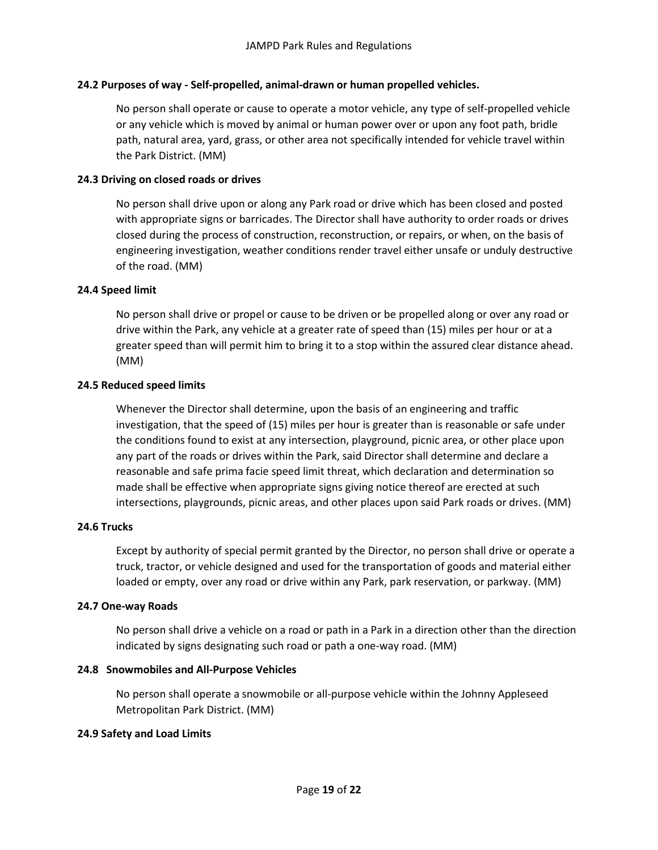# **24.2 Purposes of way - Self-propelled, animal-drawn or human propelled vehicles.**

No person shall operate or cause to operate a motor vehicle, any type of self-propelled vehicle or any vehicle which is moved by animal or human power over or upon any foot path, bridle path, natural area, yard, grass, or other area not specifically intended for vehicle travel within the Park District. (MM)

### **24.3 Driving on closed roads or drives**

No person shall drive upon or along any Park road or drive which has been closed and posted with appropriate signs or barricades. The Director shall have authority to order roads or drives closed during the process of construction, reconstruction, or repairs, or when, on the basis of engineering investigation, weather conditions render travel either unsafe or unduly destructive of the road. (MM)

# **24.4 Speed limit**

No person shall drive or propel or cause to be driven or be propelled along or over any road or drive within the Park, any vehicle at a greater rate of speed than (15) miles per hour or at a greater speed than will permit him to bring it to a stop within the assured clear distance ahead. (MM)

### **24.5 Reduced speed limits**

Whenever the Director shall determine, upon the basis of an engineering and traffic investigation, that the speed of (15) miles per hour is greater than is reasonable or safe under the conditions found to exist at any intersection, playground, picnic area, or other place upon any part of the roads or drives within the Park, said Director shall determine and declare a reasonable and safe prima facie speed limit threat, which declaration and determination so made shall be effective when appropriate signs giving notice thereof are erected at such intersections, playgrounds, picnic areas, and other places upon said Park roads or drives. (MM)

### **24.6 Trucks**

Except by authority of special permit granted by the Director, no person shall drive or operate a truck, tractor, or vehicle designed and used for the transportation of goods and material either loaded or empty, over any road or drive within any Park, park reservation, or parkway. (MM)

### **24.7 One-way Roads**

No person shall drive a vehicle on a road or path in a Park in a direction other than the direction indicated by signs designating such road or path a one-way road. (MM)

### **24.8 Snowmobiles and All-Purpose Vehicles**

No person shall operate a snowmobile or all-purpose vehicle within the Johnny Appleseed Metropolitan Park District. (MM)

### **24.9 Safety and Load Limits**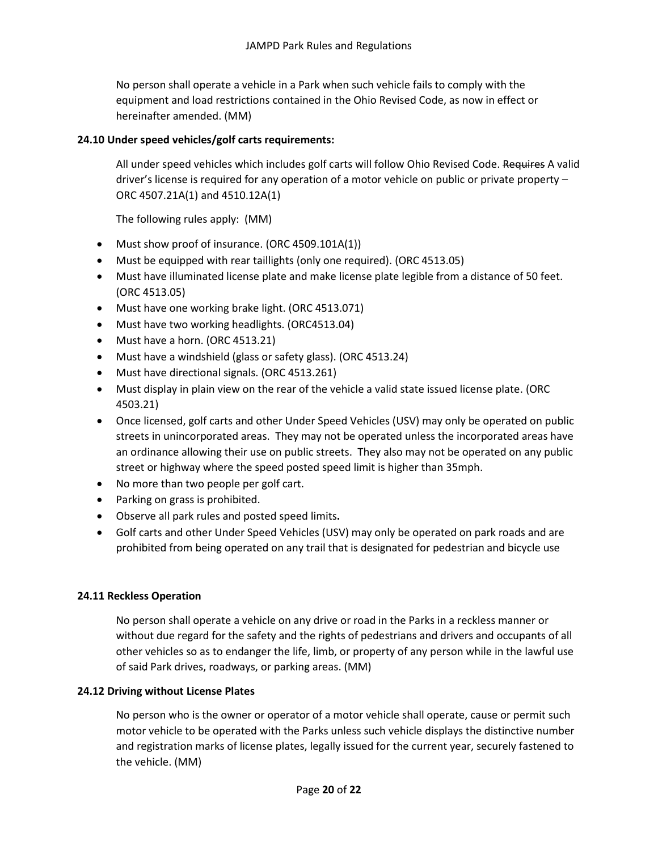No person shall operate a vehicle in a Park when such vehicle fails to comply with the equipment and load restrictions contained in the Ohio Revised Code, as now in effect or hereinafter amended. (MM)

# **24.10 Under speed vehicles/golf carts requirements:**

All under speed vehicles which includes golf carts will follow Ohio Revised Code. Requires A valid driver's license is required for any operation of a motor vehicle on public or private property – ORC 4507.21A(1) and 4510.12A(1)

The following rules apply: (MM)

- Must show proof of insurance. (ORC 4509.101A(1))
- Must be equipped with rear taillights (only one required). (ORC 4513.05)
- Must have illuminated license plate and make license plate legible from a distance of 50 feet. (ORC 4513.05)
- Must have one working brake light. (ORC 4513.071)
- Must have two working headlights. (ORC4513.04)
- Must have a horn. (ORC 4513.21)
- Must have a windshield (glass or safety glass). (ORC 4513.24)
- Must have directional signals. (ORC 4513.261)
- Must display in plain view on the rear of the vehicle a valid state issued license plate. (ORC 4503.21)
- Once licensed, golf carts and other Under Speed Vehicles (USV) may only be operated on public streets in unincorporated areas. They may not be operated unless the incorporated areas have an ordinance allowing their use on public streets. They also may not be operated on any public street or highway where the speed posted speed limit is higher than 35mph.
- No more than two people per golf cart.
- Parking on grass is prohibited.
- Observe all park rules and posted speed limits**.**
- Golf carts and other Under Speed Vehicles (USV) may only be operated on park roads and are prohibited from being operated on any trail that is designated for pedestrian and bicycle use

### **24.11 Reckless Operation**

No person shall operate a vehicle on any drive or road in the Parks in a reckless manner or without due regard for the safety and the rights of pedestrians and drivers and occupants of all other vehicles so as to endanger the life, limb, or property of any person while in the lawful use of said Park drives, roadways, or parking areas. (MM)

### **24.12 Driving without License Plates**

No person who is the owner or operator of a motor vehicle shall operate, cause or permit such motor vehicle to be operated with the Parks unless such vehicle displays the distinctive number and registration marks of license plates, legally issued for the current year, securely fastened to the vehicle. (MM)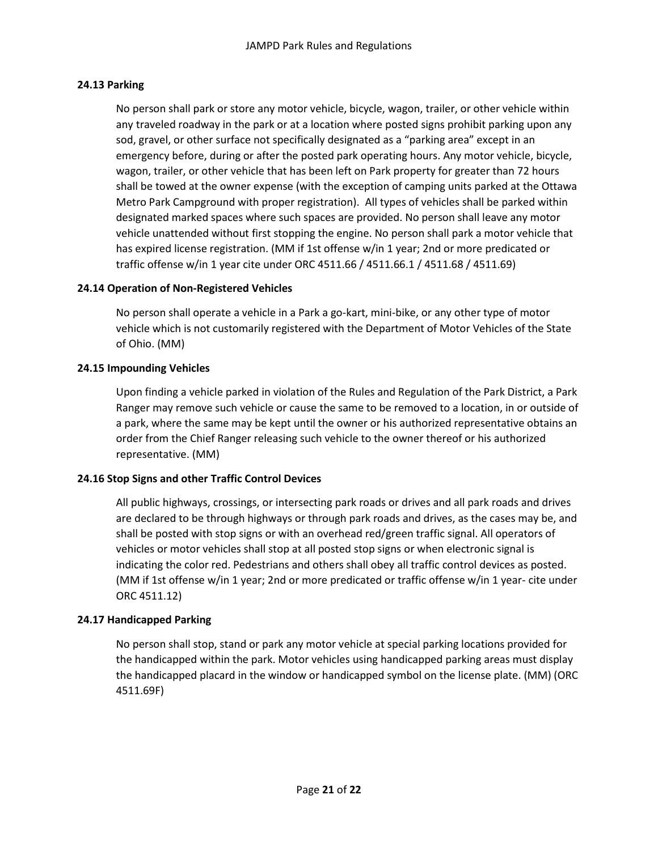# **24.13 Parking**

No person shall park or store any motor vehicle, bicycle, wagon, trailer, or other vehicle within any traveled roadway in the park or at a location where posted signs prohibit parking upon any sod, gravel, or other surface not specifically designated as a "parking area" except in an emergency before, during or after the posted park operating hours. Any motor vehicle, bicycle, wagon, trailer, or other vehicle that has been left on Park property for greater than 72 hours shall be towed at the owner expense (with the exception of camping units parked at the Ottawa Metro Park Campground with proper registration). All types of vehicles shall be parked within designated marked spaces where such spaces are provided. No person shall leave any motor vehicle unattended without first stopping the engine. No person shall park a motor vehicle that has expired license registration. (MM if 1st offense w/in 1 year; 2nd or more predicated or traffic offense w/in 1 year cite under ORC 4511.66 / 4511.66.1 / 4511.68 / 4511.69)

# **24.14 Operation of Non-Registered Vehicles**

No person shall operate a vehicle in a Park a go-kart, mini-bike, or any other type of motor vehicle which is not customarily registered with the Department of Motor Vehicles of the State of Ohio. (MM)

# **24.15 Impounding Vehicles**

Upon finding a vehicle parked in violation of the Rules and Regulation of the Park District, a Park Ranger may remove such vehicle or cause the same to be removed to a location, in or outside of a park, where the same may be kept until the owner or his authorized representative obtains an order from the Chief Ranger releasing such vehicle to the owner thereof or his authorized representative. (MM)

# **24.16 Stop Signs and other Traffic Control Devices**

All public highways, crossings, or intersecting park roads or drives and all park roads and drives are declared to be through highways or through park roads and drives, as the cases may be, and shall be posted with stop signs or with an overhead red/green traffic signal. All operators of vehicles or motor vehicles shall stop at all posted stop signs or when electronic signal is indicating the color red. Pedestrians and others shall obey all traffic control devices as posted. (MM if 1st offense w/in 1 year; 2nd or more predicated or traffic offense w/in 1 year- cite under ORC 4511.12)

### **24.17 Handicapped Parking**

No person shall stop, stand or park any motor vehicle at special parking locations provided for the handicapped within the park. Motor vehicles using handicapped parking areas must display the handicapped placard in the window or handicapped symbol on the license plate. (MM) (ORC 4511.69F)